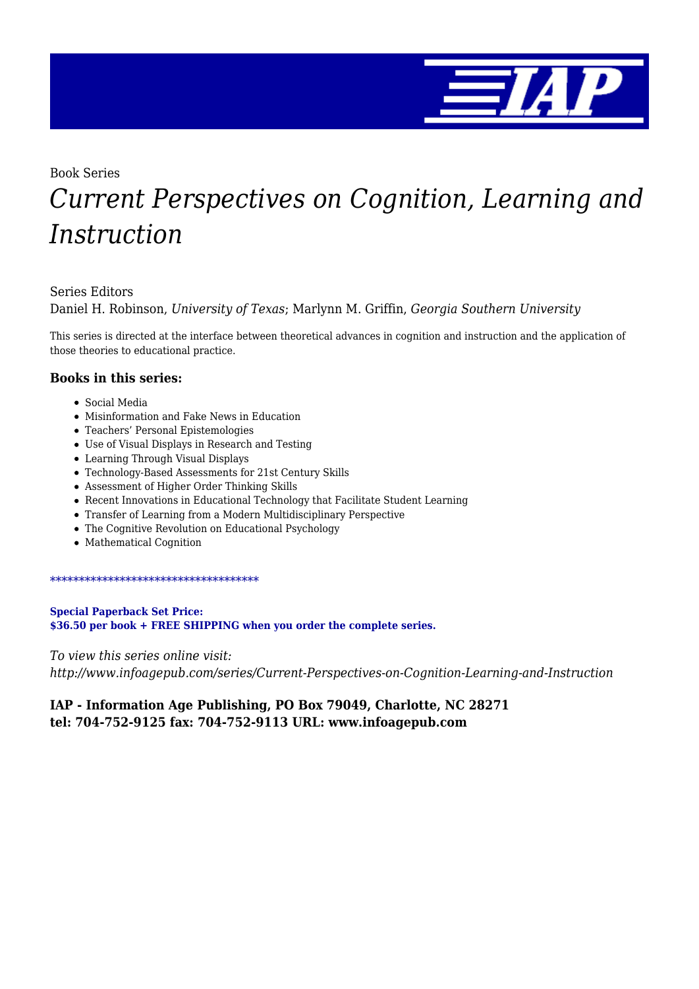

Book Series

# *Current Perspectives on Cognition, Learning and Instruction*

#### Series Editors

Daniel H. Robinson, *University of Texas*; Marlynn M. Griffin, *Georgia Southern University*

This series is directed at the interface between theoretical advances in cognition and instruction and the application of those theories to educational practice.

#### **Books in this series:**

- Social Media
- Misinformation and Fake News in Education
- Teachers' Personal Epistemologies
- Use of Visual Displays in Research and Testing
- Learning Through Visual Displays
- Technology-Based Assessments for 21st Century Skills
- Assessment of Higher Order Thinking Skills
- Recent Innovations in Educational Technology that Facilitate Student Learning
- Transfer of Learning from a Modern Multidisciplinary Perspective
- The Cognitive Revolution on Educational Psychology
- Mathematical Cognition

#### \*\*\*\*\*\*\*\*\*\*\*\*\*\*\*\*\*\*\*\*\*\*\*\*\*\*\*\*\*\*\*\*\*\*\*\*

**Special Paperback Set Price: \$36.50 per book + FREE SHIPPING when you order the complete series.**

*To view this series online visit: http://www.infoagepub.com/series/Current-Perspectives-on-Cognition-Learning-and-Instruction*

#### **IAP - Information Age Publishing, PO Box 79049, Charlotte, NC 28271 tel: 704-752-9125 fax: 704-752-9113 URL: www.infoagepub.com**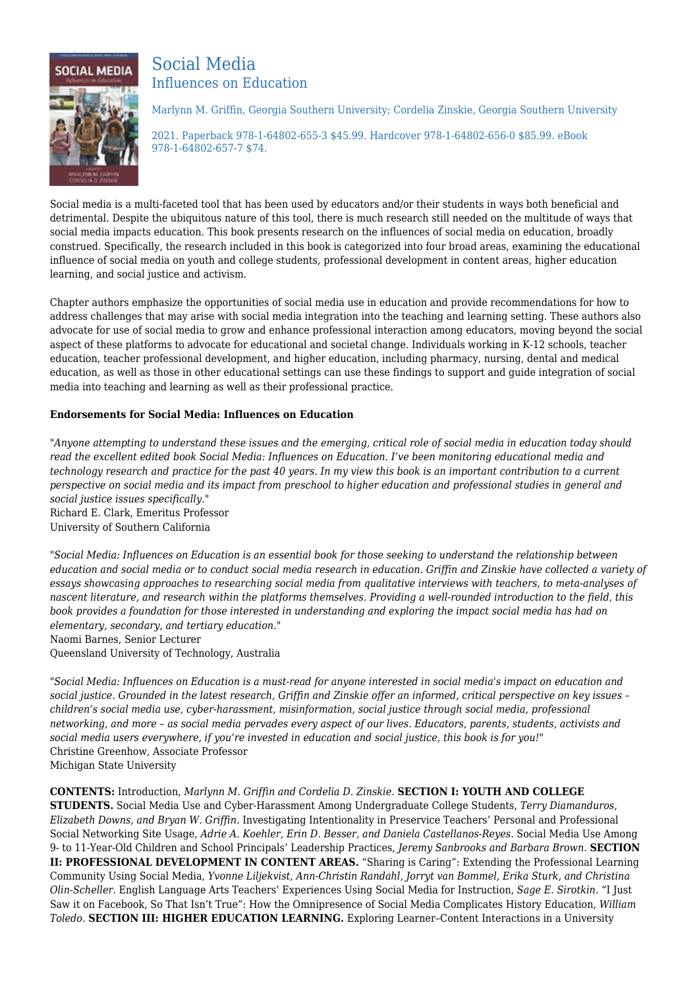

### Social Media Influences on Education

Marlynn M. Griffin, Georgia Southern University; Cordelia Zinskie, Georgia Southern University

2021. Paperback 978-1-64802-655-3 \$45.99. Hardcover 978-1-64802-656-0 \$85.99. eBook 978-1-64802-657-7 \$74.

Social media is a multi-faceted tool that has been used by educators and/or their students in ways both beneficial and detrimental. Despite the ubiquitous nature of this tool, there is much research still needed on the multitude of ways that social media impacts education. This book presents research on the influences of social media on education, broadly construed. Specifically, the research included in this book is categorized into four broad areas, examining the educational influence of social media on youth and college students, professional development in content areas, higher education learning, and social justice and activism.

Chapter authors emphasize the opportunities of social media use in education and provide recommendations for how to address challenges that may arise with social media integration into the teaching and learning setting. These authors also advocate for use of social media to grow and enhance professional interaction among educators, moving beyond the social aspect of these platforms to advocate for educational and societal change. Individuals working in K-12 schools, teacher education, teacher professional development, and higher education, including pharmacy, nursing, dental and medical education, as well as those in other educational settings can use these findings to support and guide integration of social media into teaching and learning as well as their professional practice.

#### **Endorsements for Social Media: Influences on Education**

*"Anyone attempting to understand these issues and the emerging, critical role of social media in education today should read the excellent edited book Social Media: Influences on Education. I've been monitoring educational media and technology research and practice for the past 40 years. In my view this book is an important contribution to a current perspective on social media and its impact from preschool to higher education and professional studies in general and social justice issues specifically."* Richard E. Clark, Emeritus Professor University of Southern California

*"Social Media: Influences on Education is an essential book for those seeking to understand the relationship between education and social media or to conduct social media research in education. Griffin and Zinskie have collected a variety of essays showcasing approaches to researching social media from qualitative interviews with teachers, to meta-analyses of nascent literature, and research within the platforms themselves. Providing a well-rounded introduction to the field, this book provides a foundation for those interested in understanding and exploring the impact social media has had on elementary, secondary, and tertiary education."*

Naomi Barnes, Senior Lecturer

Queensland University of Technology, Australia

*"Social Media: Influences on Education is a must-read for anyone interested in social media's impact on education and social justice. Grounded in the latest research, Griffin and Zinskie offer an informed, critical perspective on key issues – children's social media use, cyber-harassment, misinformation, social justice through social media, professional networking, and more – as social media pervades every aspect of our lives. Educators, parents, students, activists and social media users everywhere, if you're invested in education and social justice, this book is for you!"* Christine Greenhow, Associate Professor Michigan State University

**CONTENTS:** Introduction, *Marlynn M. Griffin and Cordelia D. Zinskie.* **SECTION I: YOUTH AND COLLEGE STUDENTS.** Social Media Use and Cyber-Harassment Among Undergraduate College Students, *Terry Diamanduros, Elizabeth Downs, and Bryan W. Griffin.* Investigating Intentionality in Preservice Teachers' Personal and Professional Social Networking Site Usage, *Adrie A. Koehler, Erin D. Besser, and Daniela Castellanos-Reyes.* Social Media Use Among 9- to 11-Year-Old Children and School Principals' Leadership Practices, *Jeremy Sanbrooks and Barbara Brown.* **SECTION II: PROFESSIONAL DEVELOPMENT IN CONTENT AREAS.** "Sharing is Caring": Extending the Professional Learning Community Using Social Media, *Yvonne Liljekvist, Ann-Christin Randahl, Jorryt van Bommel, Erika Sturk, and Christina Olin-Scheller.* English Language Arts Teachers' Experiences Using Social Media for Instruction, *Sage E. Sirotkin.* "I Just Saw it on Facebook, So That Isn't True": How the Omnipresence of Social Media Complicates History Education, *William Toledo.* **SECTION III: HIGHER EDUCATION LEARNING.** Exploring Learner–Content Interactions in a University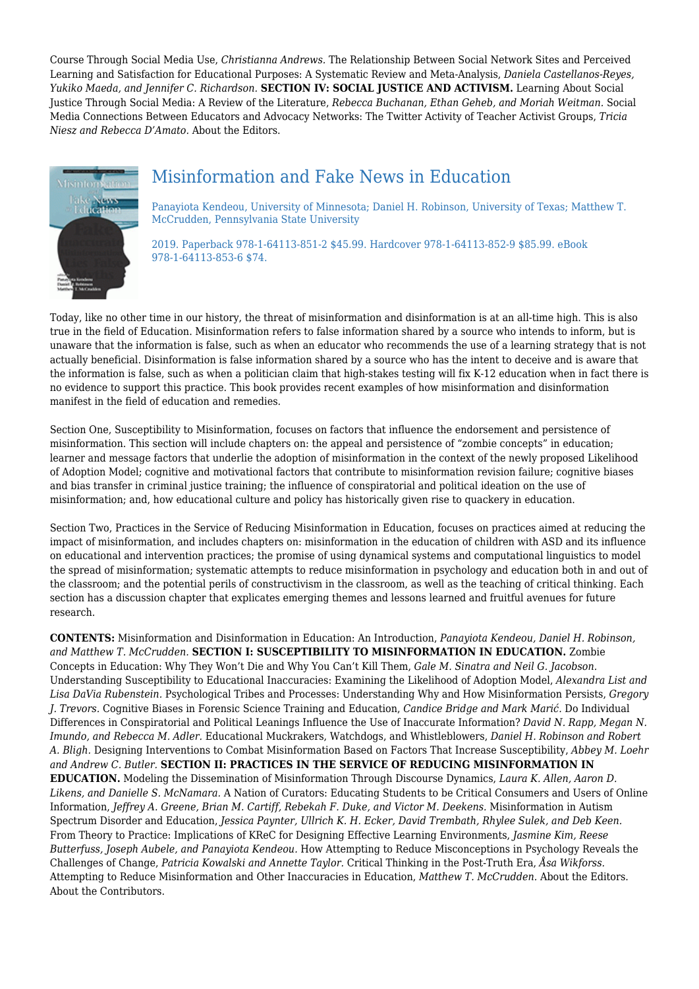Course Through Social Media Use, *Christianna Andrews.* The Relationship Between Social Network Sites and Perceived Learning and Satisfaction for Educational Purposes: A Systematic Review and Meta-Analysis, *Daniela Castellanos-Reyes, Yukiko Maeda, and Jennifer C. Richardson.* **SECTION IV: SOCIAL JUSTICE AND ACTIVISM.** Learning About Social Justice Through Social Media: A Review of the Literature, *Rebecca Buchanan, Ethan Geheb, and Moriah Weitman.* Social Media Connections Between Educators and Advocacy Networks: The Twitter Activity of Teacher Activist Groups, *Tricia Niesz and Rebecca D'Amato.* About the Editors.



### Misinformation and Fake News in Education

Panayiota Kendeou, University of Minnesota; Daniel H. Robinson, University of Texas; Matthew T. McCrudden, Pennsylvania State University

2019. Paperback 978-1-64113-851-2 \$45.99. Hardcover 978-1-64113-852-9 \$85.99. eBook 978-1-64113-853-6 \$74.

Today, like no other time in our history, the threat of misinformation and disinformation is at an all-time high. This is also true in the field of Education. Misinformation refers to false information shared by a source who intends to inform, but is unaware that the information is false, such as when an educator who recommends the use of a learning strategy that is not actually beneficial. Disinformation is false information shared by a source who has the intent to deceive and is aware that the information is false, such as when a politician claim that high-stakes testing will fix K-12 education when in fact there is no evidence to support this practice. This book provides recent examples of how misinformation and disinformation manifest in the field of education and remedies.

Section One, Susceptibility to Misinformation, focuses on factors that influence the endorsement and persistence of misinformation. This section will include chapters on: the appeal and persistence of "zombie concepts" in education; learner and message factors that underlie the adoption of misinformation in the context of the newly proposed Likelihood of Adoption Model; cognitive and motivational factors that contribute to misinformation revision failure; cognitive biases and bias transfer in criminal justice training; the influence of conspiratorial and political ideation on the use of misinformation; and, how educational culture and policy has historically given rise to quackery in education.

Section Two, Practices in the Service of Reducing Misinformation in Education, focuses on practices aimed at reducing the impact of misinformation, and includes chapters on: misinformation in the education of children with ASD and its influence on educational and intervention practices; the promise of using dynamical systems and computational linguistics to model the spread of misinformation; systematic attempts to reduce misinformation in psychology and education both in and out of the classroom; and the potential perils of constructivism in the classroom, as well as the teaching of critical thinking. Each section has a discussion chapter that explicates emerging themes and lessons learned and fruitful avenues for future research.

**CONTENTS:** Misinformation and Disinformation in Education: An Introduction, *Panayiota Kendeou, Daniel H. Robinson, and Matthew T. McCrudden.* **SECTION I: SUSCEPTIBILITY TO MISINFORMATION IN EDUCATION.** Zombie Concepts in Education: Why They Won't Die and Why You Can't Kill Them, *Gale M. Sinatra and Neil G. Jacobson.* Understanding Susceptibility to Educational Inaccuracies: Examining the Likelihood of Adoption Model, *Alexandra List and Lisa DaVia Rubenstein.* Psychological Tribes and Processes: Understanding Why and How Misinformation Persists, *Gregory J. Trevors.* Cognitive Biases in Forensic Science Training and Education, *Candice Bridge and Mark Marić.* Do Individual Differences in Conspiratorial and Political Leanings Influence the Use of Inaccurate Information? *David N. Rapp, Megan N. Imundo, and Rebecca M. Adler.* Educational Muckrakers, Watchdogs, and Whistleblowers, *Daniel H. Robinson and Robert A. Bligh.* Designing Interventions to Combat Misinformation Based on Factors That Increase Susceptibility, *Abbey M. Loehr and Andrew C. Butler.* **SECTION II: PRACTICES IN THE SERVICE OF REDUCING MISINFORMATION IN EDUCATION.** Modeling the Dissemination of Misinformation Through Discourse Dynamics, *Laura K. Allen, Aaron D. Likens, and Danielle S. McNamara.* A Nation of Curators: Educating Students to be Critical Consumers and Users of Online Information, *Jeffrey A. Greene, Brian M. Cartiff, Rebekah F. Duke, and Victor M. Deekens.* Misinformation in Autism Spectrum Disorder and Education, *Jessica Paynter, Ullrich K. H. Ecker, David Trembath, Rhylee Sulek, and Deb Keen.* From Theory to Practice: Implications of KReC for Designing Effective Learning Environments, *Jasmine Kim, Reese Butterfuss, Joseph Aubele, and Panayiota Kendeou.* How Attempting to Reduce Misconceptions in Psychology Reveals the Challenges of Change, *Patricia Kowalski and Annette Taylor.* Critical Thinking in the Post-Truth Era, *Åsa Wikforss.* Attempting to Reduce Misinformation and Other Inaccuracies in Education, *Matthew T. McCrudden.* About the Editors. About the Contributors.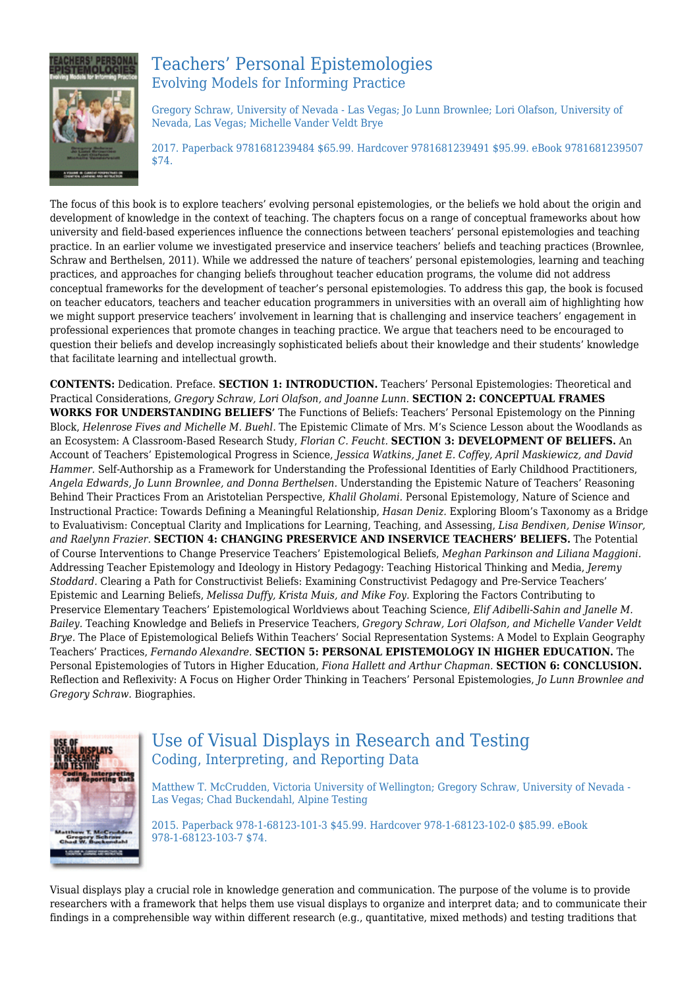

### Teachers' Personal Epistemologies Evolving Models for Informing Practice

Gregory Schraw, University of Nevada - Las Vegas; Jo Lunn Brownlee; Lori Olafson, University of Nevada, Las Vegas; Michelle Vander Veldt Brye

2017. Paperback 9781681239484 \$65.99. Hardcover 9781681239491 \$95.99. eBook 9781681239507 \$74.

The focus of this book is to explore teachers' evolving personal epistemologies, or the beliefs we hold about the origin and development of knowledge in the context of teaching. The chapters focus on a range of conceptual frameworks about how university and field‐based experiences influence the connections between teachers' personal epistemologies and teaching practice. In an earlier volume we investigated preservice and inservice teachers' beliefs and teaching practices (Brownlee, Schraw and Berthelsen, 2011). While we addressed the nature of teachers' personal epistemologies, learning and teaching practices, and approaches for changing beliefs throughout teacher education programs, the volume did not address conceptual frameworks for the development of teacher's personal epistemologies. To address this gap, the book is focused on teacher educators, teachers and teacher education programmers in universities with an overall aim of highlighting how we might support preservice teachers' involvement in learning that is challenging and inservice teachers' engagement in professional experiences that promote changes in teaching practice. We argue that teachers need to be encouraged to question their beliefs and develop increasingly sophisticated beliefs about their knowledge and their students' knowledge that facilitate learning and intellectual growth.

**CONTENTS:** Dedication. Preface. **SECTION 1: INTRODUCTION.** Teachers' Personal Epistemologies: Theoretical and Practical Considerations, *Gregory Schraw, Lori Olafson, and Joanne Lunn.* **SECTION 2: CONCEPTUAL FRAMES WORKS FOR UNDERSTANDING BELIEFS'** The Functions of Beliefs: Teachers' Personal Epistemology on the Pinning Block, *Helenrose Fives and Michelle M. Buehl.* The Epistemic Climate of Mrs. M's Science Lesson about the Woodlands as an Ecosystem: A Classroom‐Based Research Study, *Florian C. Feucht.* **SECTION 3: DEVELOPMENT OF BELIEFS.** An Account of Teachers' Epistemological Progress in Science, *Jessica Watkins, Janet E. Coffey, April Maskiewicz, and David Hammer.* Self‐Authorship as a Framework for Understanding the Professional Identities of Early Childhood Practitioners, *Angela Edwards, Jo Lunn Brownlee, and Donna Berthelsen.* Understanding the Epistemic Nature of Teachers' Reasoning Behind Their Practices From an Aristotelian Perspective, *Khalil Gholami.* Personal Epistemology, Nature of Science and Instructional Practice: Towards Defining a Meaningful Relationship, *Hasan Deniz.* Exploring Bloom's Taxonomy as a Bridge to Evaluativism: Conceptual Clarity and Implications for Learning, Teaching, and Assessing, *Lisa Bendixen, Denise Winsor, and Raelynn Frazier.* **SECTION 4: CHANGING PRESERVICE AND INSERVICE TEACHERS' BELIEFS.** The Potential of Course Interventions to Change Preservice Teachers' Epistemological Beliefs, *Meghan Parkinson and Liliana Maggioni.* Addressing Teacher Epistemology and Ideology in History Pedagogy: Teaching Historical Thinking and Media, *Jeremy Stoddard.* Clearing a Path for Constructivist Beliefs: Examining Constructivist Pedagogy and Pre‐Service Teachers' Epistemic and Learning Beliefs, *Melissa Duffy, Krista Muis, and Mike Foy.* Exploring the Factors Contributing to Preservice Elementary Teachers' Epistemological Worldviews about Teaching Science, *Elif Adibelli‐Sahin and Janelle M. Bailey.* Teaching Knowledge and Beliefs in Preservice Teachers, *Gregory Schraw, Lori Olafson, and Michelle Vander Veldt Brye.* The Place of Epistemological Beliefs Within Teachers' Social Representation Systems: A Model to Explain Geography Teachers' Practices, *Fernando Alexandre.* **SECTION 5: PERSONAL EPISTEMOLOGY IN HIGHER EDUCATION.** The Personal Epistemologies of Tutors in Higher Education, *Fiona Hallett and Arthur Chapman.* **SECTION 6: CONCLUSION.** Reflection and Reflexivity: A Focus on Higher Order Thinking in Teachers' Personal Epistemologies, *Jo Lunn Brownlee and Gregory Schraw.* Biographies.



### Use of Visual Displays in Research and Testing Coding, Interpreting, and Reporting Data

Matthew T. McCrudden, Victoria University of Wellington; Gregory Schraw, University of Nevada - Las Vegas; Chad Buckendahl, Alpine Testing

2015. Paperback 978-1-68123-101-3 \$45.99. Hardcover 978-1-68123-102-0 \$85.99. eBook 978-1-68123-103-7 \$74.

Visual displays play a crucial role in knowledge generation and communication. The purpose of the volume is to provide researchers with a framework that helps them use visual displays to organize and interpret data; and to communicate their findings in a comprehensible way within different research (e.g., quantitative, mixed methods) and testing traditions that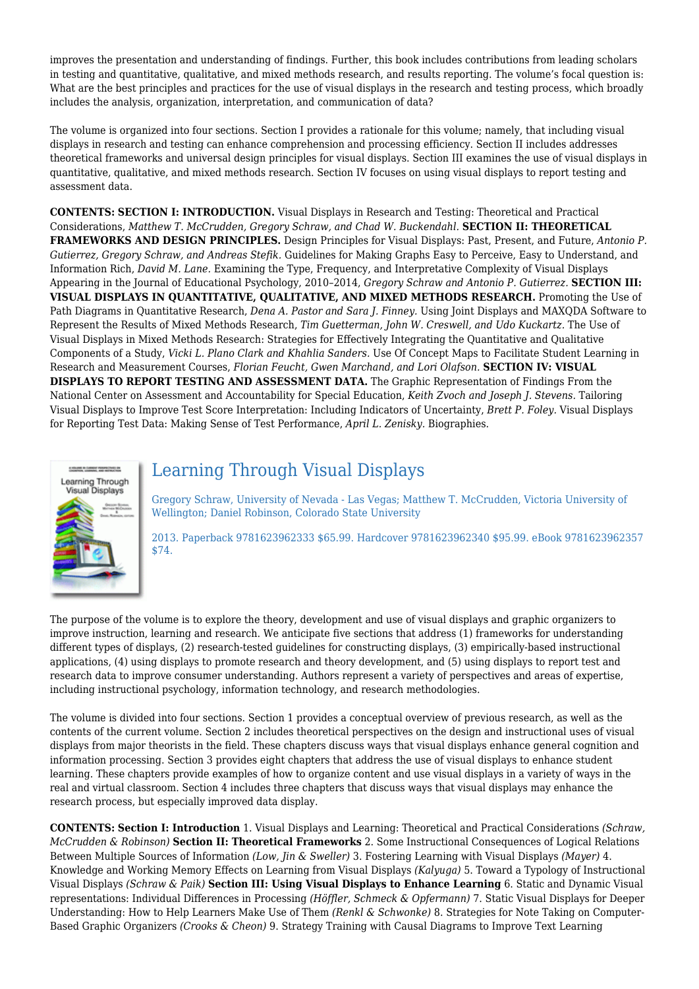improves the presentation and understanding of findings. Further, this book includes contributions from leading scholars in testing and quantitative, qualitative, and mixed methods research, and results reporting. The volume's focal question is: What are the best principles and practices for the use of visual displays in the research and testing process, which broadly includes the analysis, organization, interpretation, and communication of data?

The volume is organized into four sections. Section I provides a rationale for this volume; namely, that including visual displays in research and testing can enhance comprehension and processing efficiency. Section II includes addresses theoretical frameworks and universal design principles for visual displays. Section III examines the use of visual displays in quantitative, qualitative, and mixed methods research. Section IV focuses on using visual displays to report testing and assessment data.

**CONTENTS: SECTION I: INTRODUCTION.** Visual Displays in Research and Testing: Theoretical and Practical Considerations, *Matthew T. McCrudden, Gregory Schraw, and Chad W. Buckendahl.* **SECTION II: THEORETICAL FRAMEWORKS AND DESIGN PRINCIPLES.** Design Principles for Visual Displays: Past, Present, and Future, *Antonio P. Gutierrez, Gregory Schraw, and Andreas Stefik.* Guidelines for Making Graphs Easy to Perceive, Easy to Understand, and Information Rich, *David M. Lane.* Examining the Type, Frequency, and Interpretative Complexity of Visual Displays Appearing in the Journal of Educational Psychology, 2010–2014, *Gregory Schraw and Antonio P. Gutierrez.* **SECTION III: VISUAL DISPLAYS IN QUANTITATIVE, QUALITATIVE, AND MIXED METHODS RESEARCH.** Promoting the Use of Path Diagrams in Quantitative Research, *Dena A. Pastor and Sara J. Finney.* Using Joint Displays and MAXQDA Software to Represent the Results of Mixed Methods Research, *Tim Guetterman, John W. Creswell, and Udo Kuckartz.* The Use of Visual Displays in Mixed Methods Research: Strategies for Effectively Integrating the Quantitative and Qualitative Components of a Study, *Vicki L. Plano Clark and Khahlia Sanders.* Use Of Concept Maps to Facilitate Student Learning in Research and Measurement Courses, *Florian Feucht, Gwen Marchand, and Lori Olafson.* **SECTION IV: VISUAL DISPLAYS TO REPORT TESTING AND ASSESSMENT DATA.** The Graphic Representation of Findings From the National Center on Assessment and Accountability for Special Education, *Keith Zvoch and Joseph J. Stevens.* Tailoring Visual Displays to Improve Test Score Interpretation: Including Indicators of Uncertainty, *Brett P. Foley.* Visual Displays for Reporting Test Data: Making Sense of Test Performance, *April L. Zenisky.* Biographies.



### Learning Through Visual Displays

Gregory Schraw, University of Nevada - Las Vegas; Matthew T. McCrudden, Victoria University of Wellington; Daniel Robinson, Colorado State University

2013. Paperback 9781623962333 \$65.99. Hardcover 9781623962340 \$95.99. eBook 9781623962357 \$74.

The purpose of the volume is to explore the theory, development and use of visual displays and graphic organizers to improve instruction, learning and research. We anticipate five sections that address (1) frameworks for understanding different types of displays, (2) research-tested guidelines for constructing displays, (3) empirically-based instructional applications, (4) using displays to promote research and theory development, and (5) using displays to report test and research data to improve consumer understanding. Authors represent a variety of perspectives and areas of expertise, including instructional psychology, information technology, and research methodologies.

The volume is divided into four sections. Section 1 provides a conceptual overview of previous research, as well as the contents of the current volume. Section 2 includes theoretical perspectives on the design and instructional uses of visual displays from major theorists in the field. These chapters discuss ways that visual displays enhance general cognition and information processing. Section 3 provides eight chapters that address the use of visual displays to enhance student learning. These chapters provide examples of how to organize content and use visual displays in a variety of ways in the real and virtual classroom. Section 4 includes three chapters that discuss ways that visual displays may enhance the research process, but especially improved data display.

**CONTENTS: Section I: Introduction** 1. Visual Displays and Learning: Theoretical and Practical Considerations *(Schraw, McCrudden & Robinson)* **Section II: Theoretical Frameworks** 2. Some Instructional Consequences of Logical Relations Between Multiple Sources of Information *(Low, Jin & Sweller)* 3. Fostering Learning with Visual Displays *(Mayer)* 4. Knowledge and Working Memory Effects on Learning from Visual Displays *(Kalyuga)* 5. Toward a Typology of Instructional Visual Displays *(Schraw & Paik)* **Section III: Using Visual Displays to Enhance Learning** 6. Static and Dynamic Visual representations: Individual Differences in Processing *(Höffler, Schmeck & Opfermann)* 7. Static Visual Displays for Deeper Understanding: How to Help Learners Make Use of Them *(Renkl & Schwonke)* 8. Strategies for Note Taking on Computer-Based Graphic Organizers *(Crooks & Cheon)* 9. Strategy Training with Causal Diagrams to Improve Text Learning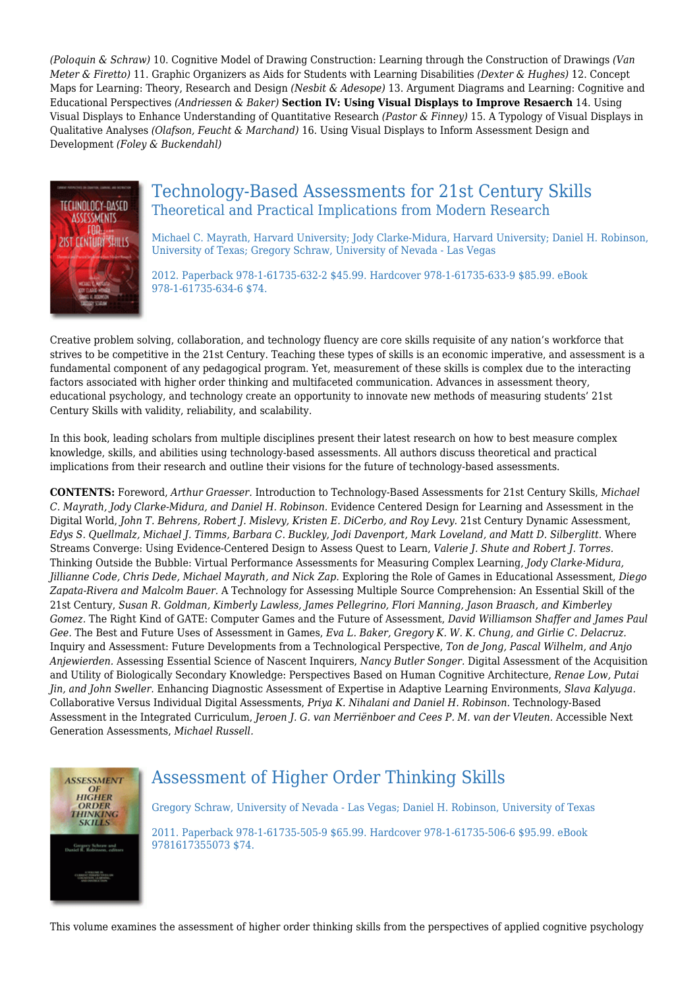*(Poloquin & Schraw)* 10. Cognitive Model of Drawing Construction: Learning through the Construction of Drawings *(Van Meter & Firetto)* 11. Graphic Organizers as Aids for Students with Learning Disabilities *(Dexter & Hughes)* 12. Concept Maps for Learning: Theory, Research and Design *(Nesbit & Adesope)* 13. Argument Diagrams and Learning: Cognitive and Educational Perspectives *(Andriessen & Baker)* **Section IV: Using Visual Displays to Improve Resaerch** 14. Using Visual Displays to Enhance Understanding of Quantitative Research *(Pastor & Finney)* 15. A Typology of Visual Displays in Qualitative Analyses *(Olafson, Feucht & Marchand)* 16. Using Visual Displays to Inform Assessment Design and Development *(Foley & Buckendahl)*



### Technology-Based Assessments for 21st Century Skills Theoretical and Practical Implications from Modern Research

Michael C. Mayrath, Harvard University; Jody Clarke-Midura, Harvard University; Daniel H. Robinson, University of Texas; Gregory Schraw, University of Nevada - Las Vegas

2012. Paperback 978-1-61735-632-2 \$45.99. Hardcover 978-1-61735-633-9 \$85.99. eBook 978-1-61735-634-6 \$74.

Creative problem solving, collaboration, and technology fluency are core skills requisite of any nation's workforce that strives to be competitive in the 21st Century. Teaching these types of skills is an economic imperative, and assessment is a fundamental component of any pedagogical program. Yet, measurement of these skills is complex due to the interacting factors associated with higher order thinking and multifaceted communication. Advances in assessment theory, educational psychology, and technology create an opportunity to innovate new methods of measuring students' 21st Century Skills with validity, reliability, and scalability.

In this book, leading scholars from multiple disciplines present their latest research on how to best measure complex knowledge, skills, and abilities using technology-based assessments. All authors discuss theoretical and practical implications from their research and outline their visions for the future of technology-based assessments.

**CONTENTS:** Foreword, *Arthur Graesser.* Introduction to Technology-Based Assessments for 21st Century Skills, *Michael C. Mayrath, Jody Clarke-Midura, and Daniel H. Robinson.* Evidence Centered Design for Learning and Assessment in the Digital World, *John T. Behrens, Robert J. Mislevy, Kristen E. DiCerbo, and Roy Levy.* 21st Century Dynamic Assessment, *Edys S. Quellmalz, Michael J. Timms, Barbara C. Buckley, Jodi Davenport, Mark Loveland, and Matt D. Silberglitt.* Where Streams Converge: Using Evidence-Centered Design to Assess Quest to Learn, *Valerie J. Shute and Robert J. Torres.* Thinking Outside the Bubble: Virtual Performance Assessments for Measuring Complex Learning, *Jody Clarke-Midura, Jillianne Code, Chris Dede, Michael Mayrath, and Nick Zap.* Exploring the Role of Games in Educational Assessment, *Diego Zapata-Rivera and Malcolm Bauer.* A Technology for Assessing Multiple Source Comprehension: An Essential Skill of the 21st Century, *Susan R. Goldman, Kimberly Lawless, James Pellegrino, Flori Manning, Jason Braasch, and Kimberley Gomez.* The Right Kind of GATE: Computer Games and the Future of Assessment, *David Williamson Shaffer and James Paul Gee.* The Best and Future Uses of Assessment in Games, *Eva L. Baker, Gregory K. W. K. Chung, and Girlie C. Delacruz.* Inquiry and Assessment: Future Developments from a Technological Perspective, *Ton de Jong, Pascal Wilhelm, and Anjo Anjewierden.* Assessing Essential Science of Nascent Inquirers, *Nancy Butler Songer.* Digital Assessment of the Acquisition and Utility of Biologically Secondary Knowledge: Perspectives Based on Human Cognitive Architecture, *Renae Low, Putai Jin, and John Sweller.* Enhancing Diagnostic Assessment of Expertise in Adaptive Learning Environments, *Slava Kalyuga.* Collaborative Versus Individual Digital Assessments, *Priya K. Nihalani and Daniel H. Robinson.* Technology-Based Assessment in the Integrated Curriculum, *Jeroen J. G. van Merriënboer and Cees P. M. van der Vleuten.* Accessible Next Generation Assessments, *Michael Russell.*



# Assessment of Higher Order Thinking Skills

Gregory Schraw, University of Nevada - Las Vegas; Daniel H. Robinson, University of Texas

2011. Paperback 978-1-61735-505-9 \$65.99. Hardcover 978-1-61735-506-6 \$95.99. eBook 9781617355073 \$74.

This volume examines the assessment of higher order thinking skills from the perspectives of applied cognitive psychology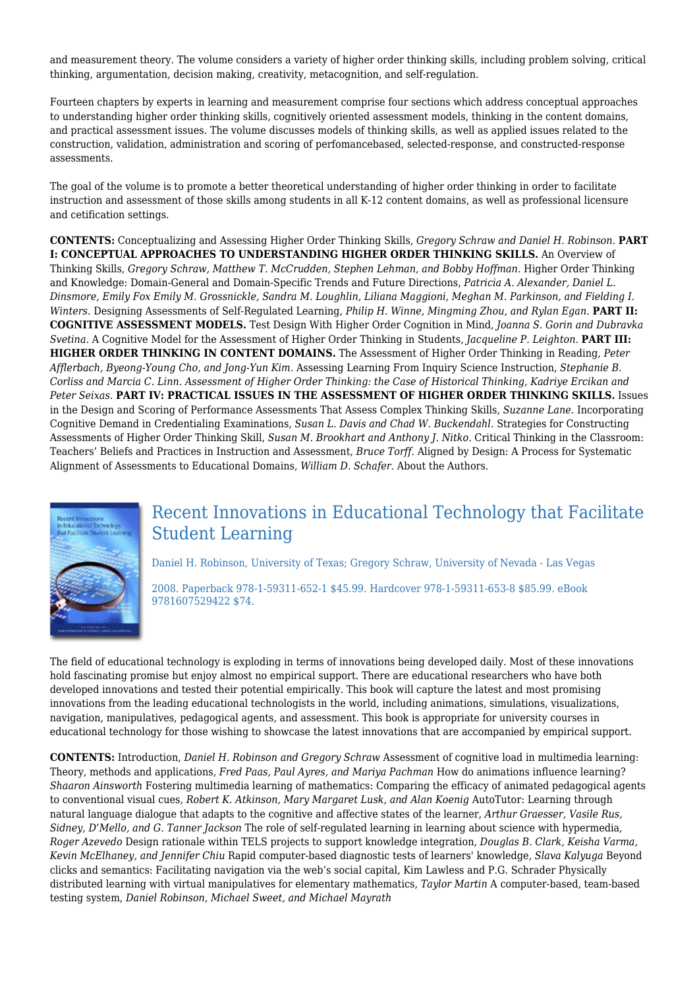and measurement theory. The volume considers a variety of higher order thinking skills, including problem solving, critical thinking, argumentation, decision making, creativity, metacognition, and self-regulation.

Fourteen chapters by experts in learning and measurement comprise four sections which address conceptual approaches to understanding higher order thinking skills, cognitively oriented assessment models, thinking in the content domains, and practical assessment issues. The volume discusses models of thinking skills, as well as applied issues related to the construction, validation, administration and scoring of perfomancebased, selected-response, and constructed-response assessments.

The goal of the volume is to promote a better theoretical understanding of higher order thinking in order to facilitate instruction and assessment of those skills among students in all K-12 content domains, as well as professional licensure and cetification settings.

**CONTENTS:** Conceptualizing and Assessing Higher Order Thinking Skills, *Gregory Schraw and Daniel H. Robinson.* **PART I: CONCEPTUAL APPROACHES TO UNDERSTANDING HIGHER ORDER THINKING SKILLS.** An Overview of Thinking Skills, *Gregory Schraw, Matthew T. McCrudden, Stephen Lehman, and Bobby Hoffman.* Higher Order Thinking and Knowledge: Domain-General and Domain-Specific Trends and Future Directions, *Patricia A. Alexander, Daniel L. Dinsmore, Emily Fox Emily M. Grossnickle, Sandra M. Loughlin, Liliana Maggioni, Meghan M. Parkinson, and Fielding I. Winters.* Designing Assessments of Self-Regulated Learning, *Philip H. Winne, Mingming Zhou, and Rylan Egan.* **PART II: COGNITIVE ASSESSMENT MODELS.** Test Design With Higher Order Cognition in Mind, *Joanna S. Gorin and Dubravka Svetina.* A Cognitive Model for the Assessment of Higher Order Thinking in Students, *Jacqueline P. Leighton.* **PART III: HIGHER ORDER THINKING IN CONTENT DOMAINS.** The Assessment of Higher Order Thinking in Reading, *Peter Afflerbach, Byeong-Young Cho, and Jong-Yun Kim.* Assessing Learning From Inquiry Science Instruction, *Stephanie B. Corliss and Marcia C. Linn. Assessment of Higher Order Thinking: the Case of Historical Thinking, Kadriye Ercikan and Peter Seixas.* **PART IV: PRACTICAL ISSUES IN THE ASSESSMENT OF HIGHER ORDER THINKING SKILLS.** Issues in the Design and Scoring of Performance Assessments That Assess Complex Thinking Skills, *Suzanne Lane.* Incorporating Cognitive Demand in Credentialing Examinations, *Susan L. Davis and Chad W. Buckendahl.* Strategies for Constructing Assessments of Higher Order Thinking Skill, *Susan M. Brookhart and Anthony J. Nitko.* Critical Thinking in the Classroom: Teachers' Beliefs and Practices in Instruction and Assessment, *Bruce Torff.* Aligned by Design: A Process for Systematic Alignment of Assessments to Educational Domains, *William D. Schafer.* About the Authors.



# Recent Innovations in Educational Technology that Facilitate Student Learning

Daniel H. Robinson, University of Texas; Gregory Schraw, University of Nevada - Las Vegas

2008. Paperback 978-1-59311-652-1 \$45.99. Hardcover 978-1-59311-653-8 \$85.99. eBook 9781607529422 \$74.

The field of educational technology is exploding in terms of innovations being developed daily. Most of these innovations hold fascinating promise but enjoy almost no empirical support. There are educational researchers who have both developed innovations and tested their potential empirically. This book will capture the latest and most promising innovations from the leading educational technologists in the world, including animations, simulations, visualizations, navigation, manipulatives, pedagogical agents, and assessment. This book is appropriate for university courses in educational technology for those wishing to showcase the latest innovations that are accompanied by empirical support.

**CONTENTS:** Introduction, *Daniel H. Robinson and Gregory Schraw* Assessment of cognitive load in multimedia learning: Theory, methods and applications, *Fred Paas, Paul Ayres, and Mariya Pachman* How do animations influence learning? *Shaaron Ainsworth* Fostering multimedia learning of mathematics: Comparing the efficacy of animated pedagogical agents to conventional visual cues, *Robert K. Atkinson, Mary Margaret Lusk, and Alan Koenig* AutoTutor: Learning through natural language dialogue that adapts to the cognitive and affective states of the learner, *Arthur Graesser, Vasile Rus, Sidney, D'Mello, and G. Tanner Jackson* The role of self-regulated learning in learning about science with hypermedia, *Roger Azevedo* Design rationale within TELS projects to support knowledge integration, *Douglas B. Clark, Keisha Varma, Kevin McElhaney, and Jennifer Chiu* Rapid computer-based diagnostic tests of learners' knowledge, *Slava Kalyuga* Beyond clicks and semantics: Facilitating navigation via the web's social capital, Kim Lawless and P.G. Schrader Physically distributed learning with virtual manipulatives for elementary mathematics, *Taylor Martin* A computer-based, team-based testing system, *Daniel Robinson, Michael Sweet, and Michael Mayrath*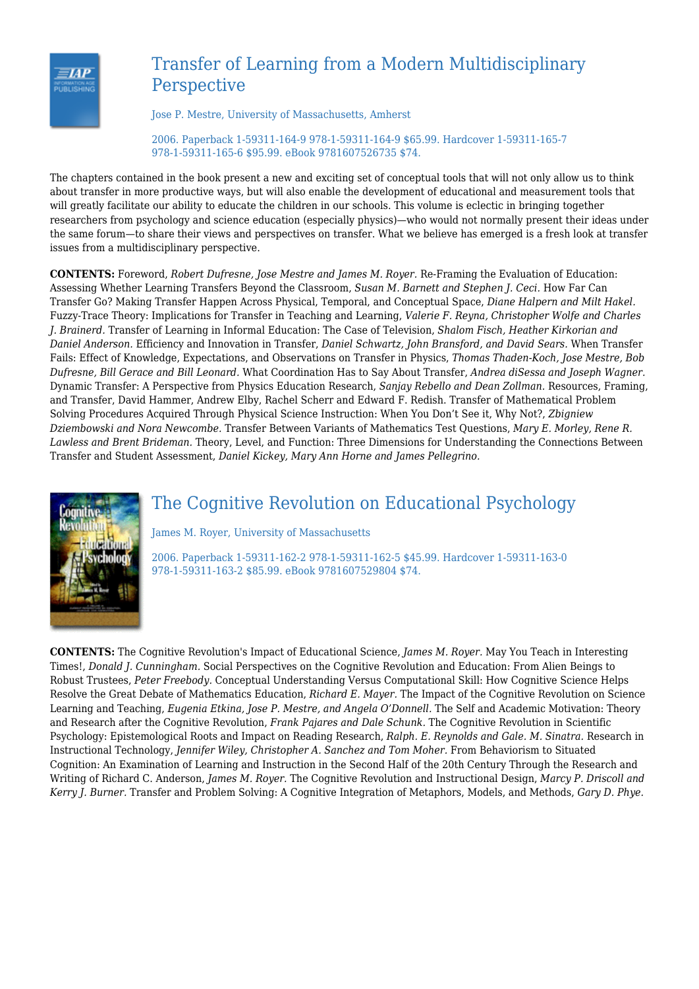

# Transfer of Learning from a Modern Multidisciplinary Perspective

Jose P. Mestre, University of Massachusetts, Amherst

2006. Paperback 1-59311-164-9 978-1-59311-164-9 \$65.99. Hardcover 1-59311-165-7 978-1-59311-165-6 \$95.99. eBook 9781607526735 \$74.

The chapters contained in the book present a new and exciting set of conceptual tools that will not only allow us to think about transfer in more productive ways, but will also enable the development of educational and measurement tools that will greatly facilitate our ability to educate the children in our schools. This volume is eclectic in bringing together researchers from psychology and science education (especially physics)—who would not normally present their ideas under the same forum—to share their views and perspectives on transfer. What we believe has emerged is a fresh look at transfer issues from a multidisciplinary perspective.

**CONTENTS:** Foreword, *Robert Dufresne, Jose Mestre and James M. Royer.* Re-Framing the Evaluation of Education: Assessing Whether Learning Transfers Beyond the Classroom, *Susan M. Barnett and Stephen J. Ceci.* How Far Can Transfer Go? Making Transfer Happen Across Physical, Temporal, and Conceptual Space, *Diane Halpern and Milt Hakel.* Fuzzy-Trace Theory: Implications for Transfer in Teaching and Learning, *Valerie F. Reyna, Christopher Wolfe and Charles J. Brainerd.* Transfer of Learning in Informal Education: The Case of Television, *Shalom Fisch, Heather Kirkorian and Daniel Anderson.* Efficiency and Innovation in Transfer, *Daniel Schwartz, John Bransford, and David Sears.* When Transfer Fails: Effect of Knowledge, Expectations, and Observations on Transfer in Physics, *Thomas Thaden-Koch, Jose Mestre, Bob Dufresne, Bill Gerace and Bill Leonard.* What Coordination Has to Say About Transfer, *Andrea diSessa and Joseph Wagner.* Dynamic Transfer: A Perspective from Physics Education Research, *Sanjay Rebello and Dean Zollman.* Resources, Framing, and Transfer, David Hammer, Andrew Elby, Rachel Scherr and Edward F. Redish. Transfer of Mathematical Problem Solving Procedures Acquired Through Physical Science Instruction: When You Don't See it, Why Not?, *Zbigniew Dziembowski and Nora Newcombe.* Transfer Between Variants of Mathematics Test Questions, *Mary E. Morley, Rene R. Lawless and Brent Brideman.* Theory, Level, and Function: Three Dimensions for Understanding the Connections Between Transfer and Student Assessment, *Daniel Kickey, Mary Ann Horne and James Pellegrino.*



# The Cognitive Revolution on Educational Psychology

James M. Royer, University of Massachusetts

2006. Paperback 1-59311-162-2 978-1-59311-162-5 \$45.99. Hardcover 1-59311-163-0 978-1-59311-163-2 \$85.99. eBook 9781607529804 \$74.

**CONTENTS:** The Cognitive Revolution's Impact of Educational Science, *James M. Royer.* May You Teach in Interesting Times!, *Donald J. Cunningham.* Social Perspectives on the Cognitive Revolution and Education: From Alien Beings to Robust Trustees, *Peter Freebody.* Conceptual Understanding Versus Computational Skill: How Cognitive Science Helps Resolve the Great Debate of Mathematics Education, *Richard E. Mayer.* The Impact of the Cognitive Revolution on Science Learning and Teaching, *Eugenia Etkina, Jose P. Mestre, and Angela O'Donnell.* The Self and Academic Motivation: Theory and Research after the Cognitive Revolution, *Frank Pajares and Dale Schunk.* The Cognitive Revolution in Scientific Psychology: Epistemological Roots and Impact on Reading Research, *Ralph. E. Reynolds and Gale. M. Sinatra.* Research in Instructional Technology, *Jennifer Wiley, Christopher A. Sanchez and Tom Moher.* From Behaviorism to Situated Cognition: An Examination of Learning and Instruction in the Second Half of the 20th Century Through the Research and Writing of Richard C. Anderson, *James M. Royer.* The Cognitive Revolution and Instructional Design, *Marcy P. Driscoll and Kerry J. Burner.* Transfer and Problem Solving: A Cognitive Integration of Metaphors, Models, and Methods, *Gary D. Phye.*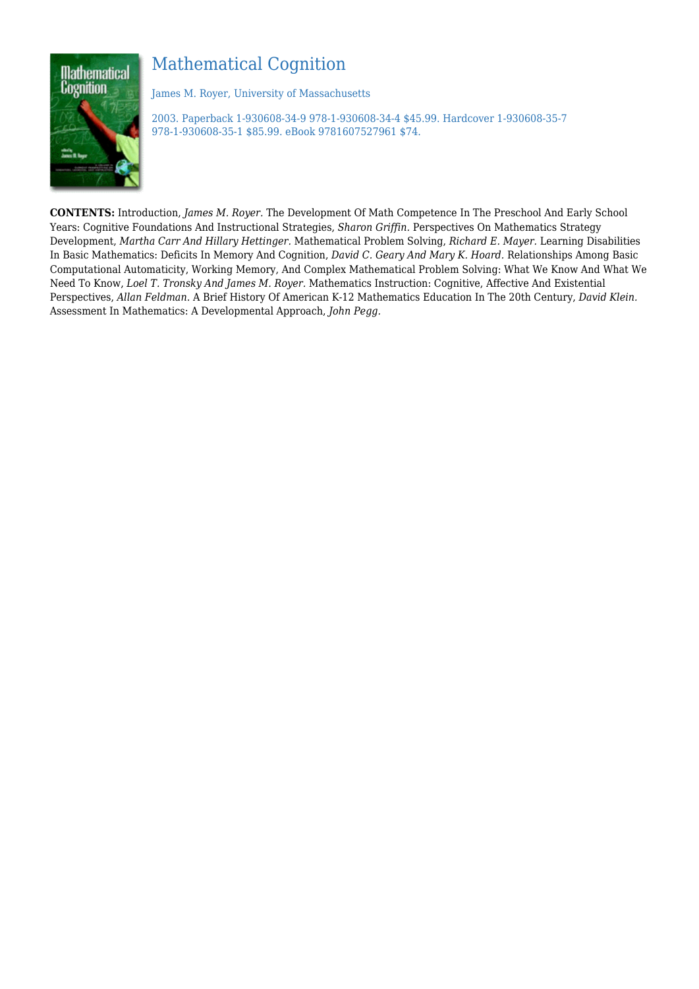# Mathematical Cognition



James M. Royer, University of Massachusetts

2003. Paperback 1-930608-34-9 978-1-930608-34-4 \$45.99. Hardcover 1-930608-35-7 978-1-930608-35-1 \$85.99. eBook 9781607527961 \$74.

**CONTENTS:** Introduction, *James M. Royer.* The Development Of Math Competence In The Preschool And Early School Years: Cognitive Foundations And Instructional Strategies, *Sharon Griffin.* Perspectives On Mathematics Strategy Development, *Martha Carr And Hillary Hettinger.* Mathematical Problem Solving, *Richard E. Mayer.* Learning Disabilities In Basic Mathematics: Deficits In Memory And Cognition, *David C. Geary And Mary K. Hoard.* Relationships Among Basic Computational Automaticity, Working Memory, And Complex Mathematical Problem Solving: What We Know And What We Need To Know, *Loel T. Tronsky And James M. Royer.* Mathematics Instruction: Cognitive, Affective And Existential Perspectives, *Allan Feldman*. A Brief History Of American K-12 Mathematics Education In The 20th Century, *David Klein.* Assessment In Mathematics: A Developmental Approach, *John Pegg.*